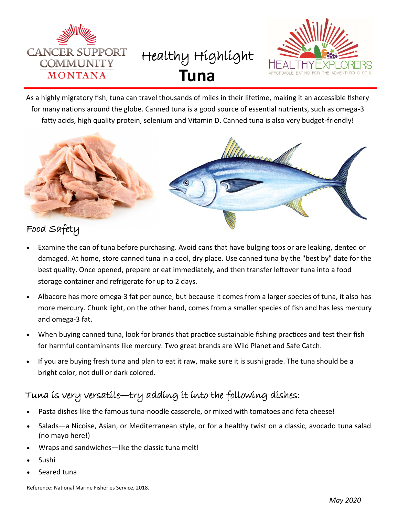

Healthy Highlight **Tuna**



As a highly migratory fish, tuna can travel thousands of miles in their lifetime, making it an accessible fishery for many nations around the globe. Canned tuna is a good source of essential nutrients, such as omega-3 fatty acids, high quality protein, selenium and Vitamin D. Canned tuna is also very budget-friendly!



# Food Safety

- Examine the can of tuna before purchasing. Avoid cans that have bulging tops or are leaking, dented or damaged. At home, store canned tuna in a cool, dry place. Use canned tuna by the "best by" date for the best quality. Once opened, prepare or eat immediately, and then transfer leftover tuna into a food storage container and refrigerate for up to 2 days.
- Albacore has more omega-3 fat per ounce, but because it comes from a larger species of tuna, it also has more mercury. Chunk light, on the other hand, comes from a smaller species of fish and has less mercury and omega-3 fat.
- When buying canned tuna, look for brands that practice sustainable fishing practices and test their fish for harmful contaminants like mercury. Two great brands are Wild Planet and Safe Catch.
- If you are buying fresh tuna and plan to eat it raw, make sure it is sushi grade. The tuna should be a bright color, not dull or dark colored.

# Tuna is very versatile—try adding it into the following dishes:

- Pasta dishes like the famous tuna-noodle casserole, or mixed with tomatoes and feta cheese!
- Salads—a Nicoise, Asian, or Mediterranean style, or for a healthy twist on a classic, avocado tuna salad (no mayo here!)
- Wraps and sandwiches—like the classic tuna melt!
- Sushi
- Seared tuna